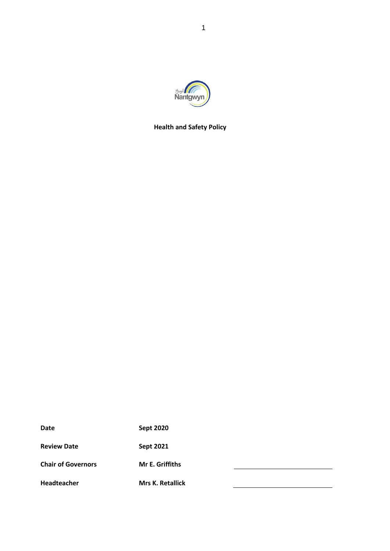

**Health and Safety Policy**

| <b>Date</b>               | <b>Sept 2020</b>        |  |
|---------------------------|-------------------------|--|
| <b>Review Date</b>        | <b>Sept 2021</b>        |  |
| <b>Chair of Governors</b> | <b>Mr E. Griffiths</b>  |  |
| Headteacher               | <b>Mrs K. Retallick</b> |  |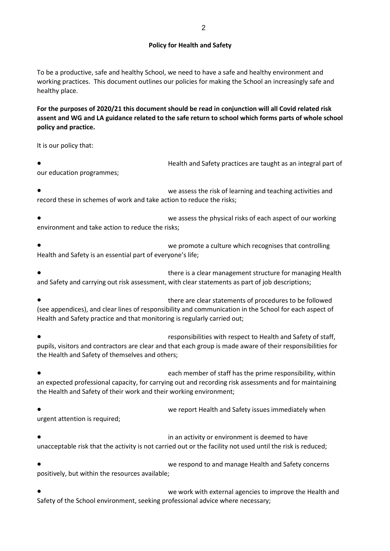### **Policy for Health and Safety**

To be a productive, safe and healthy School, we need to have a safe and healthy environment and working practices. This document outlines our policies for making the School an increasingly safe and healthy place.

**For the purposes of 2020/21 this document should be read in conjunction will all Covid related risk assent and WG and LA guidance related to the safe return to school which forms parts of whole school policy and practice.** 

It is our policy that:

Health and Safety practices are taught as an integral part of our education programmes;

we assess the risk of learning and teaching activities and record these in schemes of work and take action to reduce the risks;

we assess the physical risks of each aspect of our working environment and take action to reduce the risks;

we promote a culture which recognises that controlling Health and Safety is an essential part of everyone's life;

there is a clear management structure for managing Health and Safety and carrying out risk assessment, with clear statements as part of job descriptions;

there are clear statements of procedures to be followed (see appendices), and clear lines of responsibility and communication in the School for each aspect of Health and Safety practice and that monitoring is regularly carried out;

responsibilities with respect to Health and Safety of staff, pupils, visitors and contractors are clear and that each group is made aware of their responsibilities for the Health and Safety of themselves and others;

each member of staff has the prime responsibility, within an expected professional capacity, for carrying out and recording risk assessments and for maintaining the Health and Safety of their work and their working environment;

we report Health and Safety issues immediately when urgent attention is required;

in an activity or environment is deemed to have unacceptable risk that the activity is not carried out or the facility not used until the risk is reduced;

we respond to and manage Health and Safety concerns positively, but within the resources available;

we work with external agencies to improve the Health and Safety of the School environment, seeking professional advice where necessary;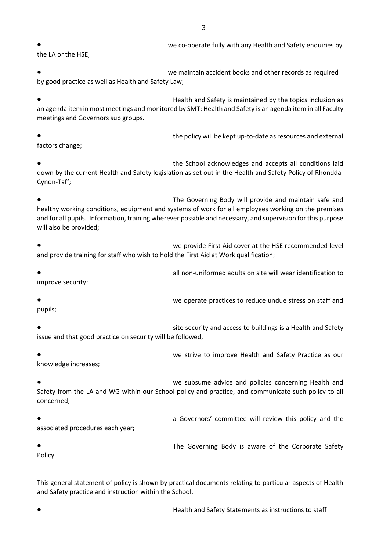3

we co-operate fully with any Health and Safety enquiries by the LA or the HSE;

we maintain accident books and other records as required by good practice as well as Health and Safety Law;

Health and Safety is maintained by the topics inclusion as an agenda item in most meetings and monitored by SMT; Health and Safety is an agenda item in all Faculty meetings and Governors sub groups.

the policy will be kept up-to-date as resources and external factors change;

the School acknowledges and accepts all conditions laid down by the current Health and Safety legislation as set out in the Health and Safety Policy of Rhondda-Cynon-Taff;

The Governing Body will provide and maintain safe and healthy working conditions, equipment and systems of work for all employees working on the premises and for all pupils. Information, training wherever possible and necessary, and supervision for this purpose will also be provided;

we provide First Aid cover at the HSE recommended level and provide training for staff who wish to hold the First Aid at Work qualification;

all non-uniformed adults on site will wear identification to improve security;

we operate practices to reduce undue stress on staff and pupils;

site security and access to buildings is a Health and Safety issue and that good practice on security will be followed,

we strive to improve Health and Safety Practice as our knowledge increases;

we subsume advice and policies concerning Health and Safety from the LA and WG within our School policy and practice, and communicate such policy to all concerned;

a Governors' committee will review this policy and the associated procedures each year;

The Governing Body is aware of the Corporate Safety Policy.

This general statement of policy is shown by practical documents relating to particular aspects of Health and Safety practice and instruction within the School.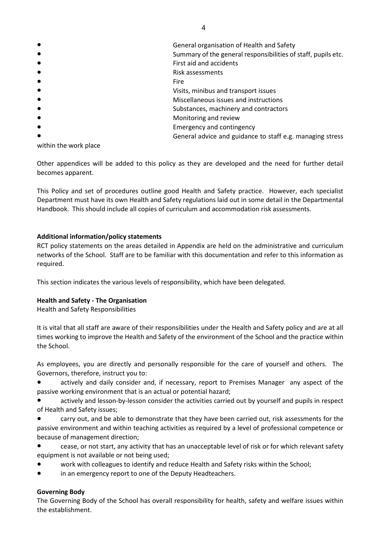| $\bullet$ | General organisation of Health and Safety                     |
|-----------|---------------------------------------------------------------|
| $\bullet$ | Summary of the general responsibilities of staff, pupils etc. |
| $\bullet$ | First aid and accidents                                       |
| $\bullet$ | Risk assessments                                              |
| $\bullet$ | <b>Fire</b>                                                   |
| $\bullet$ | Visits, minibus and transport issues                          |
| $\bullet$ | Miscellaneous issues and instructions                         |
| $\bullet$ | Substances, machinery and contractors                         |
| $\bullet$ | Monitoring and review                                         |
| $\bullet$ | <b>Emergency and contingency</b>                              |
| $\bullet$ | General advice and guidance to staff e.g. managing stress     |

within the work place

Other appendices will be added to this policy as they are developed and the need for further detail becomes apparent.

This Policy and set of procedures outline good Health and Safety practice. However, each specialist Department must have its own Health and Safety regulations laid out in some detail in the Departmental Handbook. This should include all copies of curriculum and accommodation risk assessments.

# **Additional information/policy statements**

RCT policy statements on the areas detailed in Appendix are held on the administrative and curriculum networks of the School. Staff are to be familiar with this documentation and refer to this information as required.

This section indicates the various levels of responsibility, which have been delegated.

## **Health and Safety - The Organisation**

Health and Safety Responsibilities

It is vital that all staff are aware of their responsibilities under the Health and Safety policy and are at all times working to improve the Health and Safety of the environment of the School and the practice within the School.

As employees, you are directly and personally responsible for the care of yourself and others. The Governors, therefore, instruct you to:

actively and daily consider and, if necessary, report to Premises Manager any aspect of the passive working environment that is an actual or potential hazard;

actively and lesson-by-lesson consider the activities carried out by yourself and pupils in respect of Health and Safety issues;

carry out, and be able to demonstrate that they have been carried out, risk assessments for the passive environment and within teaching activities as required by a level of professional competence or because of management direction;

- cease, or not start, any activity that has an unacceptable level of risk or for which relevant safety equipment is not available or not being used;
- work with colleagues to identify and reduce Health and Safety risks within the School;
- in an emergency report to one of the Deputy Headteachers.

## **Governing Body**

The Governing Body of the School has overall responsibility for health, safety and welfare issues within the establishment.

4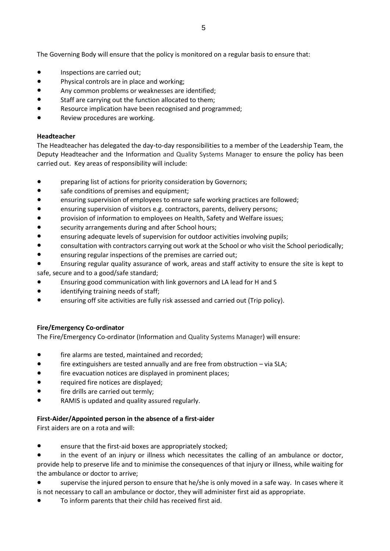The Governing Body will ensure that the policy is monitored on a regular basis to ensure that:

- Inspections are carried out;
- Physical controls are in place and working;
- Any common problems or weaknesses are identified;
- Staff are carrying out the function allocated to them;
- Resource implication have been recognised and programmed;
- Review procedures are working.

### **Headteacher**

The Headteacher has delegated the day-to-day responsibilities to a member of the Leadership Team, the Deputy Headteacher and the Information and Quality Systems Manager to ensure the policy has been carried out. Key areas of responsibility will include:

- preparing list of actions for priority consideration by Governors;
- safe conditions of premises and equipment;
- ensuring supervision of employees to ensure safe working practices are followed;
- ensuring supervision of visitors e.g. contractors, parents, delivery persons;
- provision of information to employees on Health, Safety and Welfare issues;
- security arrangements during and after School hours;
- ensuring adequate levels of supervision for outdoor activities involving pupils;
- consultation with contractors carrying out work at the School or who visit the School periodically;
- ensuring regular inspections of the premises are carried out;
- Ensuring regular quality assurance of work, areas and staff activity to ensure the site is kept to
- safe, secure and to a good/safe standard;
- Ensuring good communication with link governors and LA lead for H and S
- identifying training needs of staff;
- ensuring off site activities are fully risk assessed and carried out (Trip policy).

### **Fire/Emergency Co-ordinator**

The Fire/Emergency Co-ordinator (Information and Quality Systems Manager) will ensure:

- fire alarms are tested, maintained and recorded;
- fire extinguishers are tested annually and are free from obstruction via SLA;
- fire evacuation notices are displayed in prominent places;
- required fire notices are displayed;
- fire drills are carried out termly;
- RAMIS is updated and quality assured regularly.

### **First-Aider/Appointed person in the absence of a first-aider**

First aiders are on a rota and will:

- ensure that the first-aid boxes are appropriately stocked;
- in the event of an injury or illness which necessitates the calling of an ambulance or doctor, provide help to preserve life and to minimise the consequences of that injury or illness, while waiting for the ambulance or doctor to arrive;
- supervise the injured person to ensure that he/she is only moved in a safe way. In cases where it is not necessary to call an ambulance or doctor, they will administer first aid as appropriate.
- To inform parents that their child has received first aid.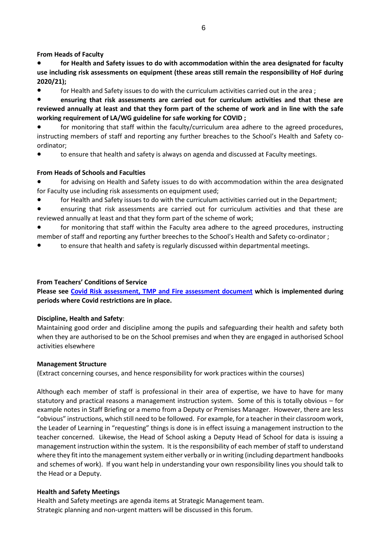**From Heads of Faculty**

- **for Health and Safety issues to do with accommodation within the area designated for faculty use including risk assessments on equipment (these areas still remain the responsibility of HoF during 2020/21);**
- for Health and Safety issues to do with the curriculum activities carried out in the area ;
- **ensuring that risk assessments are carried out for curriculum activities and that these are reviewed annually at least and that they form part of the scheme of work and in line with the safe working requirement of LA/WG guideline for safe working for COVID ;**
- for monitoring that staff within the faculty/curriculum area adhere to the agreed procedures, instructing members of staff and reporting any further breaches to the School's Health and Safety coordinator;
- to ensure that health and safety is always on agenda and discussed at Faculty meetings.

## **From Heads of Schools and Faculties**

- for advising on Health and Safety issues to do with accommodation within the area designated for Faculty use including risk assessments on equipment used;
- for Health and Safety issues to do with the curriculum activities carried out in the Department;
- ensuring that risk assessments are carried out for curriculum activities and that these are reviewed annually at least and that they form part of the scheme of work;
- for monitoring that staff within the Faculty area adhere to the agreed procedures, instructing member of staff and reporting any further breeches to the School's Health and Safety co-ordinator ;
- to ensure that health and safety is regularly discussed within departmental meetings.

## **From Teachers' Conditions of Service**

**Please see Covid [Risk assessment, TMP and Fire assessment document](https://drive.google.com/file/d/1UFgkZpK8E5dCpsiJ1pGitjKQKBjfES-w/view?usp=sharing) which is implemented during periods where Covid restrictions are in place.**

## **Discipline, Health and Safety**:

Maintaining good order and discipline among the pupils and safeguarding their health and safety both when they are authorised to be on the School premises and when they are engaged in authorised School activities elsewhere

## **Management Structure**

(Extract concerning courses, and hence responsibility for work practices within the courses)

Although each member of staff is professional in their area of expertise, we have to have for many statutory and practical reasons a management instruction system. Some of this is totally obvious – for example notes in Staff Briefing or a memo from a Deputy or Premises Manager. However, there are less "obvious" instructions, which still need to be followed. For example, for a teacher in their classroom work, the Leader of Learning in "requesting" things is done is in effect issuing a management instruction to the teacher concerned. Likewise, the Head of School asking a Deputy Head of School for data is issuing a management instruction within the system. It is the responsibility of each member of staff to understand where they fit into the management system either verbally or in writing (including department handbooks and schemes of work). If you want help in understanding your own responsibility lines you should talk to the Head or a Deputy.

## **Health and Safety Meetings**

Health and Safety meetings are agenda items at Strategic Management team. Strategic planning and non-urgent matters will be discussed in this forum.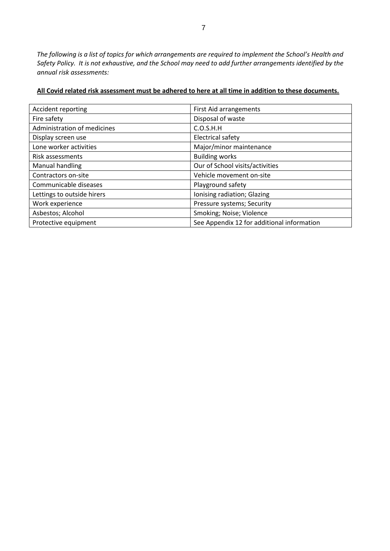*The following is a list of topics for which arrangements are required to implement the School's Health and Safety Policy. It is not exhaustive, and the School may need to add further arrangements identified by the annual risk assessments:*

| Accident reporting          | <b>First Aid arrangements</b>              |
|-----------------------------|--------------------------------------------|
| Fire safety                 | Disposal of waste                          |
| Administration of medicines | C.O.S.H.H                                  |
| Display screen use          | <b>Electrical safety</b>                   |
| Lone worker activities      | Major/minor maintenance                    |
| Risk assessments            | <b>Building works</b>                      |
| Manual handling             | Our of School visits/activities            |
| Contractors on-site         | Vehicle movement on-site                   |
| Communicable diseases       | Playground safety                          |
| Lettings to outside hirers  | Ionising radiation; Glazing                |
| Work experience             | Pressure systems; Security                 |
| Asbestos; Alcohol           | Smoking; Noise; Violence                   |
| Protective equipment        | See Appendix 12 for additional information |

### **All Covid related risk assessment must be adhered to here at all time in addition to these documents.**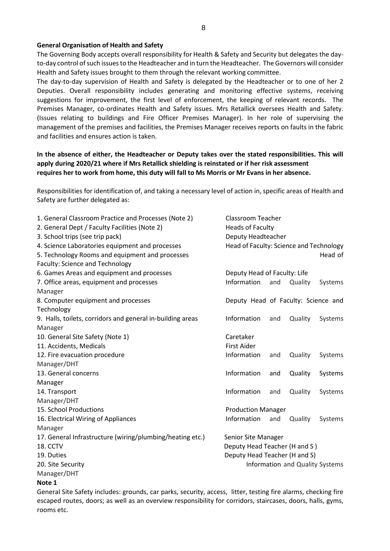#### **General Organisation of Health and Safety**

The Governing Body accepts overall responsibility for Health & Safety and Security but delegates the dayto-day control of such issues to the Headteacher and in turn the Headteacher. The Governors will consider Health and Safety issues brought to them through the relevant working committee.

The day-to-day supervision of Health and Safety is delegated by the Headteacher or to one of her 2 Deputies. Overall responsibility includes generating and monitoring effective systems, receiving suggestions for improvement, the first level of enforcement, the keeping of relevant records. The Premises Manager, co-ordinates Health and Safety issues. Mrs Retallick oversees Health and Safety. (Issues relating to buildings and Fire Officer Premises Manager). In her role of supervising the management of the premises and facilities, the Premises Manager receives reports on faults in the fabric and facilities and ensures action is taken.

## **In the absence of either, the Headteacher or Deputy takes over the stated responsibilities. This will apply during 2020/21 where if Mrs Retallick shielding is reinstated or if her risk assessment requires her to work from home, this duty will fall to Ms Morris or Mr Evans in her absence.**

Responsibilities for identification of, and taking a necessary level of action in, specific areas of Health and Safety are further delegated as:

| 1. General Classroom Practice and Processes (Note 2)       | Classroom Teacher                       |     |                                 |         |
|------------------------------------------------------------|-----------------------------------------|-----|---------------------------------|---------|
| 2. General Dept / Faculty Facilities (Note 2)              | <b>Heads of Faculty</b>                 |     |                                 |         |
| 3. School trips (see trip pack)                            | Deputy Headteacher                      |     |                                 |         |
| 4. Science Laboratories equipment and processes            | Head of Faculty: Science and Technology |     |                                 |         |
| 5. Technology Rooms and equipment and processes            |                                         |     |                                 | Head of |
| Faculty: Science and Technology                            |                                         |     |                                 |         |
| 6. Games Areas and equipment and processes                 | Deputy Head of Faculty: Life            |     |                                 |         |
| 7. Office areas, equipment and processes                   | Information                             | and | Quality                         | Systems |
| Manager                                                    |                                         |     |                                 |         |
| 8. Computer equipment and processes                        | Deputy Head of Faculty: Science and     |     |                                 |         |
| Technology                                                 |                                         |     |                                 |         |
| 9. Halls, toilets, corridors and general in-building areas | Information                             | and | Quality                         | Systems |
| Manager                                                    |                                         |     |                                 |         |
| 10. General Site Safety (Note 1)                           | Caretaker                               |     |                                 |         |
| 11. Accidents, Medicals                                    | <b>First Aider</b>                      |     |                                 |         |
| 12. Fire evacuation procedure                              | Information                             | and | Quality                         | Systems |
| Manager/DHT                                                |                                         |     |                                 |         |
| 13. General concerns                                       | Information                             | and | Quality                         | Systems |
| Manager                                                    |                                         |     |                                 |         |
| 14. Transport                                              | Information                             | and | Quality                         | Systems |
| Manager/DHT                                                |                                         |     |                                 |         |
| 15. School Productions                                     | <b>Production Manager</b>               |     |                                 |         |
| 16. Electrical Wiring of Appliances                        | Information                             | and | Quality                         | Systems |
| Manager                                                    |                                         |     |                                 |         |
| 17. General Infrastructure (wiring/plumbing/heating etc.)  | Senior Site Manager                     |     |                                 |         |
| 18. CCTV                                                   | Deputy Head Teacher (H and S)           |     |                                 |         |
| 19. Duties                                                 | Deputy Head Teacher (H and S)           |     |                                 |         |
| 20. Site Security                                          |                                         |     | Information and Quality Systems |         |
| Manager/DHT                                                |                                         |     |                                 |         |

#### **Note 1**

General Site Safety includes: grounds, car parks, security, access, litter, testing fire alarms, checking fire escaped routes, doors; as well as an overview responsibility for corridors, staircases, doors, halls, gyms, rooms etc.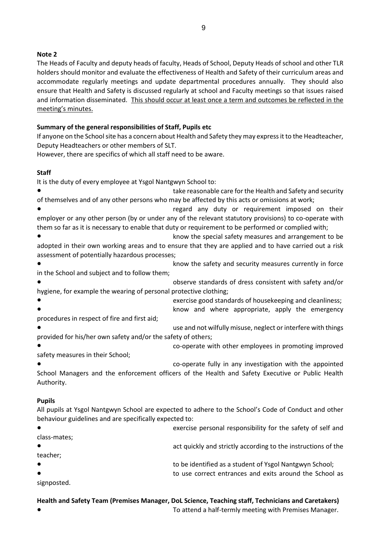## **Note 2**

The Heads of Faculty and deputy heads of faculty, Heads of School, Deputy Heads of school and other TLR holders should monitor and evaluate the effectiveness of Health and Safety of their curriculum areas and accommodate regularly meetings and update departmental procedures annually. They should also ensure that Health and Safety is discussed regularly at school and Faculty meetings so that issues raised and information disseminated. This should occur at least once a term and outcomes be reflected in the meeting's minutes.

## **Summary of the general responsibilities of Staff, Pupils etc**

If anyone on the School site has a concern about Health and Safety they may express it to the Headteacher, Deputy Headteachers or other members of SLT.

However, there are specifics of which all staff need to be aware.

# **Staff**

It is the duty of every employee at Ysgol Nantgwyn School to:

take reasonable care for the Health and Safety and security of themselves and of any other persons who may be affected by this acts or omissions at work;

regard any duty or requirement imposed on their employer or any other person (by or under any of the relevant statutory provisions) to co-operate with them so far as it is necessary to enable that duty or requirement to be performed or complied with;

- know the special safety measures and arrangement to be adopted in their own working areas and to ensure that they are applied and to have carried out a risk assessment of potentially hazardous processes;
- know the safety and security measures currently in force in the School and subject and to follow them;
- observe standards of dress consistent with safety and/or hygiene, for example the wearing of personal protective clothing;
- exercise good standards of housekeeping and cleanliness;
- know and where appropriate, apply the emergency procedures in respect of fire and first aid;
- use and not wilfully misuse, neglect or interfere with things provided for his/her own safety and/or the safety of others;
- co-operate with other employees in promoting improved safety measures in their School;
- 

co-operate fully in any investigation with the appointed School Managers and the enforcement officers of the Health and Safety Executive or Public Health Authority.

### **Pupils**

All pupils at Ysgol Nantgwyn School are expected to adhere to the School's Code of Conduct and other behaviour guidelines and are specifically expected to:

|              | exercise personal responsibility for the safety of self and   |
|--------------|---------------------------------------------------------------|
| class-mates; |                                                               |
|              | act quickly and strictly according to the instructions of the |
| teacher;     |                                                               |
|              | to be identified as a student of Ysgol Nantgwyn School;       |
|              | to use correct entrances and exits around the School as       |
| signposted.  |                                                               |

### **Health and Safety Team (Premises Manager, DoL Science, Teaching staff, Technicians and Caretakers)** To attend a half-termly meeting with Premises Manager.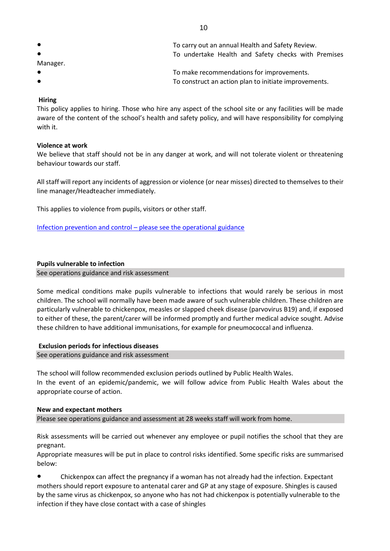| $\bullet$ | To carry out an annual Health and Safety Review.      |
|-----------|-------------------------------------------------------|
| $\bullet$ | To undertake Health and Safety checks with Premises   |
| Manager.  |                                                       |
| $\bullet$ | To make recommendations for improvements.             |
| $\bullet$ | To construct an action plan to initiate improvements. |

### **Hiring**

This policy applies to hiring. Those who hire any aspect of the school site or any facilities will be made aware of the content of the school's health and safety policy, and will have responsibility for complying with it.

#### **Violence at work**

We believe that staff should not be in any danger at work, and will not tolerate violent or threatening behaviour towards our staff.

All staff will report any incidents of aggression or violence (or near misses) directed to themselves to their line manager/Headteacher immediately.

This applies to violence from pupils, visitors or other staff.

Infection prevention and control – [please see the operational guidance](https://docs.google.com/document/d/1TslVz2PgUVSMqRQQbOJuKWIkEvENp91H02G-23g5vG8/edit?usp=sharing)

#### **Pupils vulnerable to infection**

See operations guidance and risk assessment

Some medical conditions make pupils vulnerable to infections that would rarely be serious in most children. The school will normally have been made aware of such vulnerable children. These children are particularly vulnerable to chickenpox, measles or slapped cheek disease (parvovirus B19) and, if exposed to either of these, the parent/carer will be informed promptly and further medical advice sought. Advise these children to have additional immunisations, for example for pneumococcal and influenza.

#### **Exclusion periods for infectious diseases**

See operations guidance and risk assessment

The school will follow recommended exclusion periods outlined by Public Health Wales. In the event of an epidemic/pandemic, we will follow advice from Public Health Wales about the appropriate course of action.

# **New and expectant mothers** Please see operations guidance and assessment at 28 weeks staff will work from home.

Risk assessments will be carried out whenever any employee or pupil notifies the school that they are pregnant.

Appropriate measures will be put in place to control risks identified. Some specific risks are summarised below:

● Chickenpox can affect the pregnancy if a woman has not already had the infection. Expectant mothers should report exposure to antenatal carer and GP at any stage of exposure. Shingles is caused by the same virus as chickenpox, so anyone who has not had chickenpox is potentially vulnerable to the infection if they have close contact with a case of shingles

10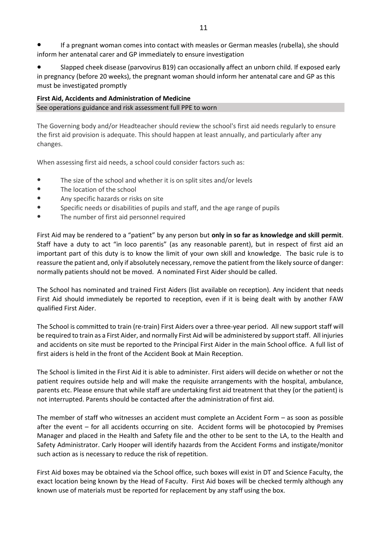If a pregnant woman comes into contact with measles or German measles (rubella), she should inform her antenatal carer and GP immediately to ensure investigation

Slapped cheek disease (parvovirus B19) can occasionally affect an unborn child. If exposed early in pregnancy (before 20 weeks), the pregnant woman should inform her antenatal care and GP as this must be investigated promptly

**First Aid, Accidents and Administration of Medicine** See operations guidance and risk assessment full PPE to worn

The Governing body and/or Headteacher should review the school's first aid needs regularly to ensure the first aid provision is adequate. This should happen at least annually, and particularly after any changes.

When assessing first aid needs, a school could consider factors such as:

- The size of the school and whether it is on split sites and/or levels
- The location of the school
- Any specific hazards or risks on site
- Specific needs or disabilities of pupils and staff, and the age range of pupils
- The number of first aid personnel required

First Aid may be rendered to a "patient" by any person but **only in so far as knowledge and skill permit**. Staff have a duty to act "in loco parentis" (as any reasonable parent), but in respect of first aid an important part of this duty is to know the limit of your own skill and knowledge. The basic rule is to reassure the patient and, only if absolutely necessary, remove the patient from the likely source of danger: normally patients should not be moved. A nominated First Aider should be called.

The School has nominated and trained First Aiders (list available on reception). Any incident that needs First Aid should immediately be reported to reception, even if it is being dealt with by another FAW qualified First Aider.

The School is committed to train (re-train) First Aiders over a three-year period. All new support staff will be required to train as a First Aider, and normally First Aid will be administered by support staff. All injuries and accidents on site must be reported to the Principal First Aider in the main School office. A full list of first aiders is held in the front of the Accident Book at Main Reception.

The School is limited in the First Aid it is able to administer. First aiders will decide on whether or not the patient requires outside help and will make the requisite arrangements with the hospital, ambulance, parents etc. Please ensure that while staff are undertaking first aid treatment that they (or the patient) is not interrupted. Parents should be contacted after the administration of first aid.

The member of staff who witnesses an accident must complete an Accident Form – as soon as possible after the event – for all accidents occurring on site. Accident forms will be photocopied by Premises Manager and placed in the Health and Safety file and the other to be sent to the LA, to the Health and Safety Administrator. Carly Hooper will identify hazards from the Accident Forms and instigate/monitor such action as is necessary to reduce the risk of repetition.

First Aid boxes may be obtained via the School office, such boxes will exist in DT and Science Faculty, the exact location being known by the Head of Faculty. First Aid boxes will be checked termly although any known use of materials must be reported for replacement by any staff using the box.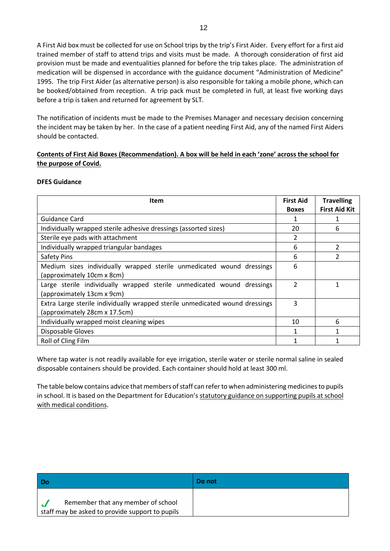A First Aid box must be collected for use on School trips by the trip's First Aider. Every effort for a first aid trained member of staff to attend trips and visits must be made. A thorough consideration of first aid provision must be made and eventualities planned for before the trip takes place. The administration of medication will be dispensed in accordance with the guidance document "Administration of Medicine" 1995. The trip First Aider (as alternative person) is also responsible for taking a mobile phone, which can be booked/obtained from reception. A trip pack must be completed in full, at least five working days before a trip is taken and returned for agreement by SLT.

The notification of incidents must be made to the Premises Manager and necessary decision concerning the incident may be taken by her. In the case of a patient needing First Aid, any of the named First Aiders should be contacted.

### **Contents of First Aid Boxes (Recommendation). A box will be held in each 'zone' across the school for the purpose of Covid.**

### **DFES Guidance**

| Item                                                                         | <b>First Aid</b> | <b>Travelling</b>    |
|------------------------------------------------------------------------------|------------------|----------------------|
|                                                                              | <b>Boxes</b>     | <b>First Aid Kit</b> |
| Guidance Card                                                                | 1                |                      |
| Individually wrapped sterile adhesive dressings (assorted sizes)             | 20               | 6                    |
| Sterile eye pads with attachment                                             | 2                |                      |
| Individually wrapped triangular bandages                                     | 6                | 2                    |
| Safety Pins                                                                  | 6                | $\mathcal{P}$        |
| Medium sizes individually wrapped sterile unmedicated wound dressings        | 6                |                      |
| (approximately 10cm x 8cm)                                                   |                  |                      |
| Large sterile individually wrapped sterile unmedicated wound dressings       | $\mathfrak{p}$   |                      |
| (approximately 13cm x 9cm)                                                   |                  |                      |
| Extra Large sterile individually wrapped sterile unmedicated wound dressings | 3                |                      |
| (approximately 28cm x 17.5cm)                                                |                  |                      |
| Individually wrapped moist cleaning wipes                                    | 10               | 6                    |
| Disposable Gloves                                                            | $\mathbf{1}$     |                      |
| Roll of Cling Film                                                           |                  |                      |

Where tap water is not readily available for eye irrigation, sterile water or sterile normal saline in sealed disposable containers should be provided. Each container should hold at least 300 ml.

The table below contains advice that members of staff can refer to when administering medicines to pupils in school. It is based on the Department for Education's statutory guidance on supporting pupils at school [with medical conditions.](https://www.gov.uk/government/publications/supporting-pupils-at-school-with-medical-conditions--3)

| l Do                                                                                  | Do not |
|---------------------------------------------------------------------------------------|--------|
| Remember that any member of school<br>staff may be asked to provide support to pupils |        |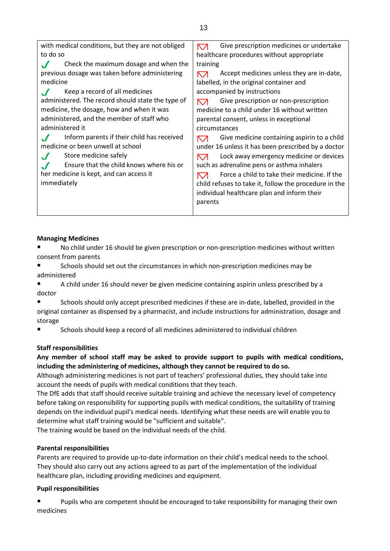| with medical conditions, but they are not obliged<br>to do so | Give prescription medicines or undertake<br>⇱↗<br>healthcare procedures without appropriate |
|---------------------------------------------------------------|---------------------------------------------------------------------------------------------|
|                                                               |                                                                                             |
| Check the maximum dosage and when the                         | training                                                                                    |
| previous dosage was taken before administering                | Accept medicines unless they are in-date,<br>↖↗                                             |
| medicine                                                      | labelled, in the original container and                                                     |
| Keep a record of all medicines                                | accompanied by instructions                                                                 |
| administered. The record should state the type of             | Give prescription or non-prescription<br>↖↗                                                 |
| medicine, the dosage, how and when it was                     | medicine to a child under 16 without written                                                |
| administered, and the member of staff who                     | parental consent, unless in exceptional                                                     |
| administered it                                               | circumstances                                                                               |
| Inform parents if their child has received                    | Give medicine containing aspirin to a child<br>⇱↗                                           |
| medicine or been unwell at school                             | under 16 unless it has been prescribed by a doctor                                          |
| Store medicine safely                                         | Lock away emergency medicine or devices<br>⇱↗                                               |
| Ensure that the child knows where his or                      | such as adrenaline pens or asthma inhalers                                                  |
| her medicine is kept, and can access it                       | Force a child to take their medicine. If the<br>↖↗                                          |
| immediately                                                   | child refuses to take it, follow the procedure in the                                       |
|                                                               | individual healthcare plan and inform their                                                 |
|                                                               | parents                                                                                     |
|                                                               |                                                                                             |

## **Managing Medicines**

No child under 16 should be given prescription or non-prescription medicines without written consent from parents

● Schools should set out the circumstances in which non-prescription medicines may be administered

● A child under 16 should never be given medicine containing aspirin unless prescribed by a doctor

Schools should only accept prescribed medicines if these are in-date, labelled, provided in the original container as dispensed by a pharmacist, and include instructions for administration, dosage and storage

● Schools should keep a record of all medicines administered to individual children

## **Staff responsibilities**

# **Any member of school staff may be asked to provide support to pupils with medical conditions, including the administering of medicines, although they cannot be required to do so.**

Although administering medicines is not part of teachers' professional duties, they should take into account the needs of pupils with medical conditions that they teach.

The DfE adds that staff should receive suitable training and achieve the necessary level of competency before taking on responsibility for supporting pupils with medical conditions, the suitability of training depends on the individual pupil's medical needs. Identifying what these needs are will enable you to determine what staff training would be "sufficient and suitable".

The training would be based on the individual needs of the child.

## **Parental responsibilities**

Parents are required to provide up-to-date information on their child's medical needs to the school. They should also carry out any actions agreed to as part of the implementation of the individual healthcare plan, including providing medicines and equipment.

### **Pupil responsibilities**

● Pupils who are competent should be encouraged to take responsibility for managing their own medicines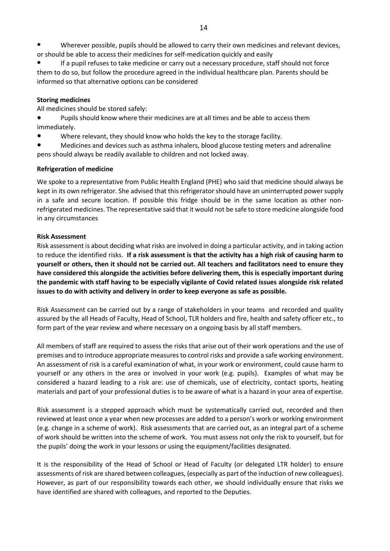Wherever possible, pupils should be allowed to carry their own medicines and relevant devices, or should be able to access their medicines for self-medication quickly and easily

If a pupil refuses to take medicine or carry out a necessary procedure, staff should not force them to do so, but follow the procedure agreed in the individual healthcare plan. Parents should be informed so that alternative options can be considered

### **Storing medicines**

All medicines should be stored safely:

Pupils should know where their medicines are at all times and be able to access them immediately.

Where relevant, they should know who holds the key to the storage facility.

Medicines and devices such as asthma inhalers, blood glucose testing meters and adrenaline pens should always be readily available to children and not locked away.

### **Refrigeration of medicine**

We spoke to a representative from Public Health England (PHE) who said that medicine should always be kept in its own refrigerator. She advised that this refrigerator should have an uninterrupted power supply in a safe and secure location. If possible this fridge should be in the same location as other nonrefrigerated medicines. The representative said that it would not be safe to store medicine alongside food in any circumstances

### **Risk Assessment**

Risk assessment is about deciding what risks are involved in doing a particular activity, and in taking action to reduce the identified risks. **If a risk assessment is that the activity has a high risk of causing harm to yourself or others, then it should not be carried out. All teachers and facilitators need to ensure they have considered this alongside the activities before delivering them, this is especially important during the pandemic with staff having to be especially vigilante of Covid related issues alongside risk related issues to do with activity and delivery in order to keep everyone as safe as possible.** 

Risk Assessment can be carried out by a range of stakeholders in your teams and recorded and quality assured by the all Heads of Faculty, Head of School, TLR holders and fire, health and safety officer etc., to form part of the year review and where necessary on a ongoing basis by all staff members.

All members of staff are required to assess the risks that arise out of their work operations and the use of premises and to introduce appropriate measures to control risks and provide a safe working environment. An assessment of risk is a careful examination of what, in your work or environment, could cause harm to yourself or any others in the area or involved in your work (e.g. pupils). Examples of what may be considered a hazard leading to a risk are: use of chemicals, use of electricity, contact sports, heating materials and part of your professional duties is to be aware of what is a hazard in your area of expertise.

Risk assessment is a stepped approach which must be systematically carried out, recorded and then reviewed at least once a year when new processes are added to a person's work or working environment (e.g. change in a scheme of work). Risk assessments that are carried out, as an integral part of a scheme of work should be written into the scheme of work. You must assess not only the risk to yourself, but for the pupils' doing the work in your lessons or using the equipment/facilities designated.

It is the responsibility of the Head of School or Head of Faculty (or delegated LTR holder) to ensure assessments of risk are shared between colleagues, (especially as part of the induction of new colleagues). However, as part of our responsibility towards each other, we should individually ensure that risks we have identified are shared with colleagues, and reported to the Deputies.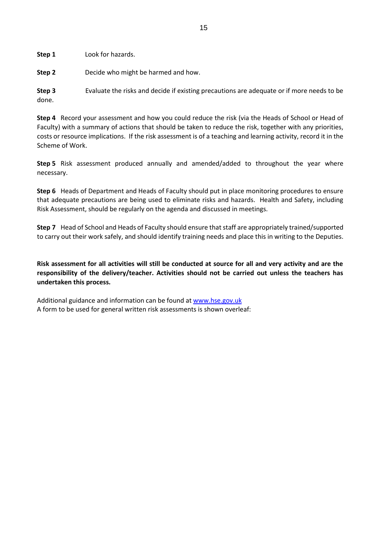**Step 1** Look for hazards.

**Step 2** Decide who might be harmed and how.

**Step 3** Evaluate the risks and decide if existing precautions are adequate or if more needs to be done.

**Step 4** Record your assessment and how you could reduce the risk (via the Heads of School or Head of Faculty) with a summary of actions that should be taken to reduce the risk, together with any priorities, costs or resource implications. If the risk assessment is of a teaching and learning activity, record it in the Scheme of Work.

**Step 5** Risk assessment produced annually and amended/added to throughout the year where necessary.

**Step 6** Heads of Department and Heads of Faculty should put in place monitoring procedures to ensure that adequate precautions are being used to eliminate risks and hazards. Health and Safety, including Risk Assessment, should be regularly on the agenda and discussed in meetings.

**Step 7** Head of School and Heads of Faculty should ensure that staff are appropriately trained/supported to carry out their work safely, and should identify training needs and place this in writing to the Deputies.

**Risk assessment for all activities will still be conducted at source for all and very activity and are the responsibility of the delivery/teacher. Activities should not be carried out unless the teachers has undertaken this process.** 

Additional guidance and information can be found at [www.hse.gov.uk](http://www.hse.giv.uk/) A form to be used for general written risk assessments is shown overleaf: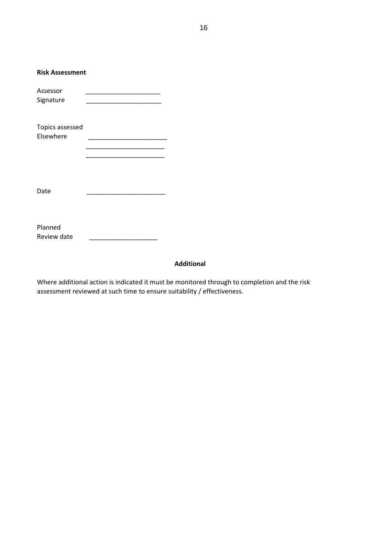| <b>Risk Assessment</b>       |  |
|------------------------------|--|
| Assessor<br>Signature        |  |
| Topics assessed<br>Elsewhere |  |
| Date                         |  |
| Planned<br>Review date       |  |

## **Additional**

Where additional action is indicated it must be monitored through to completion and the risk assessment reviewed at such time to ensure suitability / effectiveness.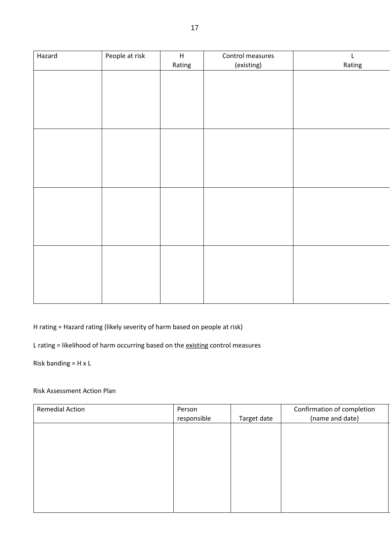| Hazard | People at risk | $\boldsymbol{\mathsf{H}}$<br>Rating | Control measures<br>(existing) | $\mathsf L$<br>Rating |
|--------|----------------|-------------------------------------|--------------------------------|-----------------------|
|        |                |                                     |                                |                       |
|        |                |                                     |                                |                       |
|        |                |                                     |                                |                       |
|        |                |                                     |                                |                       |
|        |                |                                     |                                |                       |
|        |                |                                     |                                |                       |
|        |                |                                     |                                |                       |
|        |                |                                     |                                |                       |
|        |                |                                     |                                |                       |
|        |                |                                     |                                |                       |
|        |                |                                     |                                |                       |
|        |                |                                     |                                |                       |

H rating = Hazard rating (likely severity of harm based on people at risk)

L rating = likelihood of harm occurring based on the existing control measures

Risk banding = H x L

# Risk Assessment Action Plan

| <b>Remedial Action</b> | Person      |             | Confirmation of completion |
|------------------------|-------------|-------------|----------------------------|
|                        | responsible | Target date | (name and date)            |
|                        |             |             |                            |
|                        |             |             |                            |
|                        |             |             |                            |
|                        |             |             |                            |
|                        |             |             |                            |
|                        |             |             |                            |
|                        |             |             |                            |
|                        |             |             |                            |
|                        |             |             |                            |
|                        |             |             |                            |